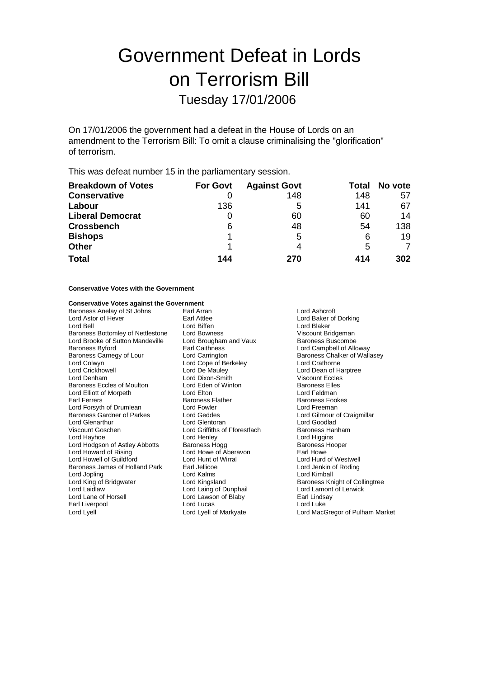# Government Defeat in Lords on Terrorism Bill Tuesday 17/01/2006

On 17/01/2006 the government had a defeat in the House of Lords on an amendment to the Terrorism Bill: To omit a clause criminalising the "glorification" of terrorism.

This was defeat number 15 in the parliamentary session.

| <b>Breakdown of Votes</b> | <b>For Govt</b> | <b>Against Govt</b> |     | Total No vote |
|---------------------------|-----------------|---------------------|-----|---------------|
| <b>Conservative</b>       |                 | 148                 | 148 | 57            |
| Labour                    | 136             | 5                   | 141 | 67            |
| <b>Liberal Democrat</b>   |                 | 60                  | 60  | 14            |
| <b>Crossbench</b>         | 6               | 48                  | 54  | 138           |
| <b>Bishops</b>            |                 | 5                   | 6   | 19            |
| <b>Other</b>              |                 | 4                   | 5   | 7             |
| <b>Total</b>              | 144             | 270                 | 414 | 302           |

#### **Conservative Votes with the Government**

### **Conservative Votes against the Government**<br>Baroness Anelay of St Johns **Earl Arran**

Baroness Anelay of St Johns Earl Arran Earl Arran Cord Ashcroft<br>
Lord Astor of Hever **Earl Attlee** Earl Attlee Lord Astor of Hever **Earl Attlee** Earl Attlee **Constructs Lord Baker of Dorking**<br>
Lord Bell **Constructs** Lord Bliffen<br>
Lord Bell **Constructs** Lord Blaker Baroness Bottomley of Nettlestone Lord Bowness<br>
Lord Brooke of Sutton Mandeville Lord Brougham and Vaux Baroness Buscombe Lord Brooke of Sutton Mandeville Lord Brougham<br>Baroness Byford Baroness Baroness Baroness Baroness Byford **Earl Caithness** Earl Caithness Carnegy of Lour Lord Carnegy of Lour Lord Carrington **Campbell of Alloway**<br>
Baroness Carnegy of Lour Lord Carrington **Carrington** Baroness Chalker of Wall Lord Colwyn Lord Cope of Berkeley Lord Crathorne<br>
Lord Crickhowell Lord De Mauley Lord De Mauley Lord Dean of H Lord Crickhowell **Lord De Mauley** Lord De Mauley **Lord Dean of Harptree**<br>
Lord Denham **Lord Dixon-Smith** Viscount Eccles Baroness Eccles of Moulton Lord Eden of Winton Baroness Elle<br>
Lord Elliott of Morpeth Lord Eton Lord Ellion Lord Eldman Lord Elliott of Morpeth Lord Elton Lord Elton Lord Elton Lord Feldman<br>
Earl Ferrers Cokes Baroness Flather Carl Baroness Fookes Lord Forsyth of Drumlean Lord Fowler<br>Baroness Gardner of Parkes Lord Geddes Lord Glenarthur **Lord Glentoran**<br>
Lord Goodlad<br>
Lord Griffiths of Fforestfach Baroness Hanham Viscount Goschen Lord Griffiths of Fforestfach<br>
Lord Hayhoe<br>
Lord Henley Lord Hodgson of Astley Abbotts Baroness Hogg Baroness Hogg Baroness Hogg Baroness Hogg Baroness Hogg Baroness Hogg Baroness Hogg Baroness Hogg Baroness Hogg Baroness Hogg Baroness Howe of Aberavon Lord Howell of Guildford Lord Hunt of Wirral Lord Hurd of Westwell Baroness James of Holland Park Earl Jellicoe Earl Denkin of Lord Jenkin of Lord Arings Earl Jenkin of Roding Lord Kimball Dred Kalms Cord Kimball Lord Kimball Dred Kimball Dred Kimball Dred Kimball Dred Kimball Dred Kimbal Lord Jopling Communist Cord Kalms<br>Lord King of Bridgwater Cord Kingsland Lord King of Bridgwater **Lord Kingsland** Lord Kingsland Baroness Knight of Collingtree<br>
Lord Laing of Dunphail **Barones** Lord Lamont of Lerwick Lord Laidlaw Lord Laing of Dunphail Lord Lamont of Lerwick Earl Liverpool **Lord Lucas** Lord Lucas **Lord Lucas** Lord Luke Lord Lyell Lord Lyell of Markyate Lord MacGregor of Pulham Market

Lord Biffen **Carl Lord Blaker**<br>
Lord Bowness<br>
Viscount Bridgeman Lord Dixon-Smith Viscount Eccles<br>
Lord Eden of Winton Baroness Elles Earoness Flather **Baroness Flather** Baroness Fook<br>
Lord Fowler **Baroness Fookers** Lord Henley Lord Higgins<br>
Baroness Hogg 
Baroness Hooper Lord Howe of Aberavon **Earl Howe**<br>
Lord Hunt of Wirral **Condition Condition** Lord Hurd of Westwell Lord Lawson of Blaby

Baroness Chalker of Wallasey Lord Geddes **Baroness Corporation Corporation**<br>
Lord Gentoran<br>
Lord Goodlad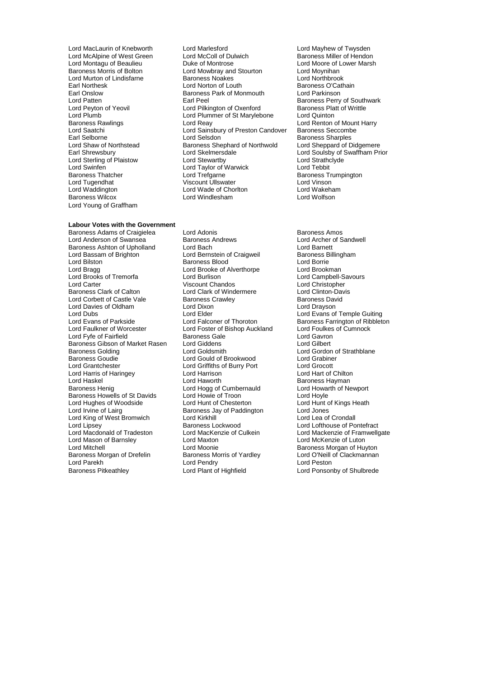Lord McAlpine of West Green Lord McColl of Du<br>
Lord Montagu of Beaulieu Baroness Duke of Montrose Lord Murton of Lindisfarne **Baroness Noakes**<br> **Earl Northesk** Lord Norton of Louth Earl Onslow Baroness Park of Monmouth Lord Parkinson Lord Sterling of Plaistow<br>
Lord Swinfen Lord Taylor of Warwick<br>
Baroness Thatcher Lord Trefgarne Lord Young of Graffham

### **Labour Votes with the Government**

Lord Anderson of Swansea Baroness Andrews Baroness Andrews<br>Baroness Ashton of Upholland Lord Bach Cord Baronett Baroness Ashton of Upholland Lord Bach Lord Barnett Lord Bassam of Brighton **Lord Bernstein of Craigweil** Baroness B<br>Lord Bilston **Lord Baroness Blood** Baroness Blood Lord Bilston **Carlo Baroness Blood** Lord Borrie Lord Brookness Blood Lord Brookness Blood Lord Brookness Lord Brookness Lord Brookness Lord Brookness Lord Brookness Lord Brookness Lord Brookness Lord Brookness Lord Brookne Lord Brooks of Tremorfa Lord Burlison Lord Campbell-Savours Lord Campbell-Savours Lord Campbell-Savours Lord Christopher Lord Carter Carter Chandos Corporation Chandos<br>Baroness Clark of Calton Clord Clark of Windermere Corporation-Davis Lord Corbett of Castle Vale Baroness Crawley<br>
Lord Davies of Oldham Baroness Crawley<br>
Lord Davies of Oldham Baroness Crawley Lord Davies of Oldham Lord Dixon<br>
Lord Dubs Lord Elder Lord Dubs<br>
Lord Evans of Parkside Lord Elder Lord Elder Lord Evans of Temple Guiting<br>
Lord Evans of Parkside Lord Falconer of Thoroton Baroness Farrington of Ribblet Lord Evans of Parkside **Lord Falconer of Thoroton** Baroness Farrington of Ribbleton Lord Faulkes of Cumnock<br>
Lord Faulkner of Worcester **Baroness** Lord Foster of Bishop Auckland Lord Foulkes of Cumnock Lord Fyfe of Fairfield **Baroness Gale** Lord Gavron Cord Gavron<br>Baroness Gibson of Market Rasen Lord Giddens **Lord Gilbert** Baroness Gibson of Market Rasen Lord Giddens<br>Baroness Golding **Lord Goldsmith** Baroness Golding **Exercise Secure Lord Goldsmith** Lord Gordon of Strathblane<br>
Baroness Goudie **Lord Gould of Brookwood** Lord Grabiner Baroness Goudie **Communist Could Could of Brookwood** Cord Grabine<br>
Lord Grabine<br>
Lord Griffiths of Burry Port Cord Grocott Lord Harris of Haringey Lord Haskel Lord Haworth Lord Haworth Christian Baroness Hayman<br>Baroness Henig Christian Lord Hogg of Cumbernauld Lord Howarth of Newport Baroness Howells of St Davids Lord Howie of Troon Lord Hoyle<br>
Lord Hunt of Chesterton Lord Hunt of Chesterton Lord Hunt of Kings Heath Lord Hughes of Woodside Lord Hunt of Chesterton Chesterton Lord Hunt of Chesterton Lord Hunt of Chesterton Lord Jones Lord King of West Bromwich Lord Kirkhill Cord Kirkhill Lord Kirkhill Cord Kirkhill Cord Kirkhill Cord Crondall<br>Lord Lipsey Caroline Baroness Lockwood Lord Lipsey **Baroness Lockwood** Lord Lofthouse of Pontefract<br>
Lord Macdonald of Tradeston Lord MacKenzie of Culkein Lord Mackenzie of Framwello Lord Mason of Barnsley **Lord Maxton Lord Maxton Lord Maxton Lord Maxton Cord Me**<br>
Lord Mitchell Baroness Morgan of Drefelin Lord Parekh Lord Pendry Cord Pendry<br>
Lord Pare Lord Plant of Highfield<br>
Lord Ponsor<br>
Lord Ponsor

Lord MacLaurin of Knebworth Lord Marlesford Lord Mayhew of Twysden<br>
Lord McAlpine of West Green Lord McColl of Dulwich Baroness Miller of Hendon Lord Montagu of Beaulieu **Duke of Montrose** Lord Moore of Lower Marsh<br>
Baroness Morris of Bolton **Lord Mowbray and Stourton** Lord Movnihan Lord Mowbray and Stourton Lord Moynihan<br>Baroness Noakes Lord Northbrook Earl Northesk **Earl Lord Norton of Louth** Baroness O'Cathain<br>
Earl Onslow **Baroness Park of Monmouth** Lord Parkinson Lord Patten **Earl Peel** Earl Peel Baroness Perry of Southwark<br>
Lord Peyton of Yeovil **Earl Peel** Cord Pilkington of Oxenford Baroness Platt of Writtle Lord Peyton of Yeovil **Lord Pilkington of Oxenford** Baroness Platt Cord Plummer of St Marylebone Lord Quinton Lord Plumb Lord Plummer of St Marylebone Lord Quinton Baroness Rawlings **Lord Reay Lord Reay** Lord Reasoness Rawlings **Lord Reasoness** Lord Renton of Mount Harry Lord Sainsbury of Preston Candover Baroness Seccombe Lord Saatchi Lord Sainsbury of Preston Candover<br>
Earl Selborne Lord Selsdon Earl Selborne **Exercise Selborne** Lord Selsdon<br>
Lord Shaw of Northstead Baroness Shephard of Northwold Lord Sheppard of Didgemere Lord Shaw of Northstead Baroness Shephard of Northwold<br>
Earl Shrewsbury Lord Skelmersdale Lord Sterling of Plaistow Lord Stewartby Cord Strathcland Strathcland Strathcland Strathclub Lord Tebbit<br>
Lord Swinfen Cord Text Cord Taylor of Warwick Lord Tebbit Baroness Thatcher **Baroness Thatcher** Lord Trefgarne **Baroness Trumpington**<br>
Lord Tugendhat **Baroness Trumpington**<br>
University Viscount Ullswater **Baroness Trumpington** Lord Tugendhat Viscount Ullswater Lord Vinson Lord Waddington Lord Wade of Chorlton Lord Wakeham Lord Windlesham

Baroness Adams of Craigielea Lord Adonis<br>
Lord Anderson of Swansea Baroness Andrews Lord Archer of Sandwell Lord Brooke of Alverthorpe Lord Brookman<br>
Lord Burlison Lord Campbell-Savours Lord Clark of Windermere Lord Clinton-David<br>Baroness Crawley Care Baroness David Lord Foster of Bishop Auckland Lord Foulkes<br>Baroness Gale Lord Gavron Lord Griffiths of Burry Port Lord Grocott<br>
Lord Harrison Chilton Lord Hart of Chilton Lord Hogg of Cumbernauld Lord Howarth Lord Howarth Cumbernauld Lord Hoyle Baroness Jay of Paddington Lord Jones<br>
Lord Kirkhill Lord Lea of Crondall Lord Moonie<br>
Baroness Morris of Yardley<br>
Lord O'Neill of Clackmannan

Lord Soulsby of Swaffham Prior<br>Lord Strathclyde

Lord MacKenzie of Culkein Lord Mackenzie of Framwellgate<br>Lord Maxton Lord McKenzie of Luton Lord Ponsonby of Shulbrede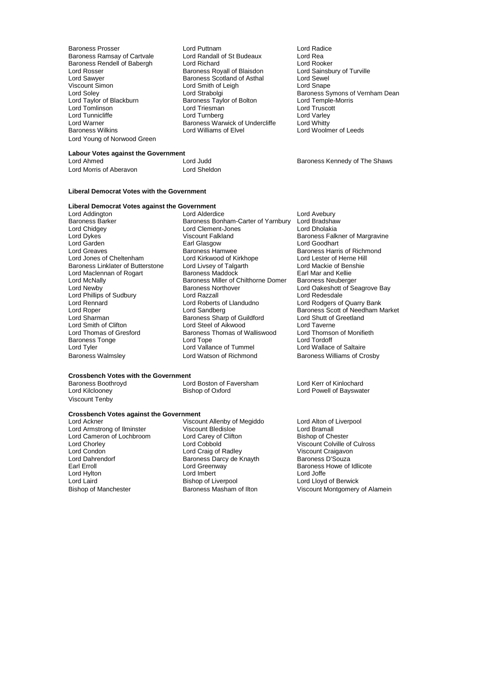Baroness Rendell of Babergh Lord Richard<br>Lord Rosser Corporation Baroness Royall of Blaisdon Viscount Simon **Lord Smith of Leigh**<br>
Lord Soley **Lord Strabolgi** Lord Young of Norwood Green

Baroness Prosser **Carolic Communist Control** Lord Puttnam **Control Control Control Control Control** Lord Radice<br>
Baroness Ramsay of Cartvale **Control Control Control Control Control Control Control Control Control Control** Baroness Ramsay of Cartvale Lord Randall of St Budeaux Lord Rea<br>
Baroness Rendell of Babergh Lord Richard Cord Rooker Lord Rosser Baroness Royall of Blaisdon<br>
Lord Rosser Cord Rosser<br>
Lord Sawyer **Baroness Scotland of Asthal** Lord Sewel Lord Sawyer **Baroness Scotland of Asthal Lord Sewel**<br>Viscount Simon **Baroness Scotland of Asthal Lord Shape** Baroness Taylor of Bolton **Baroness Taylor of Bolton Corris** Lord Temple-<br>
Lord Triesman Lord Truscott Lord Tomlinson Lord Triesman Lord Truscott Lord Tunnicliffe **Lord Turnberg** Lord Turnberg Lord Varley<br>
Lord Warner **Lord Warner Corporation**<br>
Lord Whitty Lord Warner **Baroness Warwick of Undercliffe**<br>
Baroness Wilkins<br>
Lord Williams of Elvel

Lord Soley **Lord Strabolgi** Cord Strabolgi **Baroness Symons of Vernham Dean**<br>
Lord Taylor of Blackburn **Baroness Taylor of Bolton** Lord Temple-Morris Lord Woolmer of Leeds

Baroness Kennedy of The Shaws

**Labour Votes against the Government**

Lord Morris of Aberavon Lord Sheldon

#### **Liberal Democrat Votes with the Government**

## **Liberal Democrat Votes against the Government**

Lord Chidgey **Lord Clement-Jones**<br>
Lord Dykes **Lord Clement-Lord Clement-Jones** Lord Garden **Earl Glasgow**<br> **Earl Greaves**<br> **Early Baroness Hamwee** Lord Phillips of Sudbury Lord Razzall<br>
Lord Rennard Cord Roberts of Llandudno Lord Tyler Lord Vallance of Tummel Lord Wallace of Saltaire

Lord Addington **Lord Alderdice** Lord Avebury<br>Baroness Barker **Baroness Bonham-Carter of Yarnbury** Lord Bradsha Baroness Barker **Baroness Bonham-Carter of Yarnbury** Lord Bradshaw<br>Lord Chidgey Lord Clement-Jones Lord Dholakia Lord Dykes **Contains Account Falkland** Baroness Falkner of Margravine<br>
Lord Garden **Baroness Earl Garden** Baroness Falkner of Margravine Lord Greaves Baroness Hamwee Baroness Harris of Richmond Lord Kirkwood of Kirkhope Lord Lester of Herne Hil<br>
Lord Livsey of Talgarth Lord Mackie of Benshie Baroness Linklater of Butterstone Lord Livsey of Talgarth Lord Mackie of Ben<br>Lord Maclennan of Rogart Baroness Maddock Barl Mar and Kellie Lord Maclennan of Rogart Baroness Maddock Earl Mar and Kellie<br>Lord McNally Baroness Miller of Chilthorne Domer Baroness Neuberger Lord McNally **Baroness Miller of Chilthorne Domer**<br>
Lord Newby **Baroness Northover** Baroness Northover **Lord Oakeshott of Seagrove Bay**<br>
Lord Razzall<br>
Lord Redesdale Lord Rennard **Lord Roberts of Landudno**<br>
Lord Rober **Connect Lord Sandberg**<br>
Lord Rober **Baroness Scott of Needham** N Lord Roper **Lord Sandberg** Lord Sandberg Baroness Scott of Needham Market<br>
Lord Sharman **Baroness Sharp of Guildford** Lord Shutt of Greetland Baroness Sharp of Guildford Lord Shutt of<br>
Lord Steel of Aikwood Lord Taverne Lord Smith of Clifton Lord Steel of Aikwood Lord Taverne Baroness Thomas of Walliswood Lord Thomson Lord Thomas of Walliswood Lord Tordoff Baroness Tonge **Constructs** Lord Tope **Lordoff** Lord Tope **Lord Tope Lord Tope Constructs** Lord Cordoff Lord Tyler Lord Watson of Richmond Baroness Williams of Crosby

## **Crossbench Votes with the Government**

Baroness Boothroyd **Example 2 Lord Boston of Faversham** Lord Kerr of Kinlochard<br>
Lord Kilclooney **Consult Biston Consult Baroney** Cord Powell of Bayswate

### **Crossbench Votes against the Government**<br>Lord Ackner Viscou

Lord Cameron of Lochbroom Lord Carey of<br>
Lord Chorley Corp Corp Corp Lord Cobbold Lord Dahrendorf **Baroness Darcy de Knayth Baroness Darcy de Knayth**<br>Earl Erroll Baroness Darcy Baroness De Lord Greenway Lord Hylton Lord Imbert Lord Laird<br>
Lord Laird **Communist Communist Communist Communist Communist Communist Communist Communist Communist Communist Communist Communist Communist Communist Communist Communist Communist Comm** Lord Laird<br>
Bishop of Liverpool Bishop of Liverpool Cornel Lord Lloyd of Berwick<br>
Bishop of Manchester Baroness Masham of Ilton Ciscount Montgomery

Viscount Tenby

Viscount Allenby of Megiddo<br>
Viscount Allenby of Megiddo<br>
Lord Bramall Lord Armstrong of Ilminster Viscount Bledisloe Corp Lord Bramall<br>
Lord Cameron of Lochbroom Lord Carey of Clifton Bishop of Chester Lord Chorley **Lord Cobbold** Colville of Culross Lord Condon<br>
Lord Coraig of Radley **Viscount Craigavon**<br>
Viscount Craigavon Lord Condon **Lord Craig of Radley** Viscount Craigavor<br>
Lord Dahrendorf **Condon Carry Condon Carry de Knayth** Baroness D'Souza Lord Greenway **Baroness Howe of Idlicote**<br> **Example 1** ord Joffe Lord Index

Lord Powell of Bayswater

Viscount Montgomery of Alamein